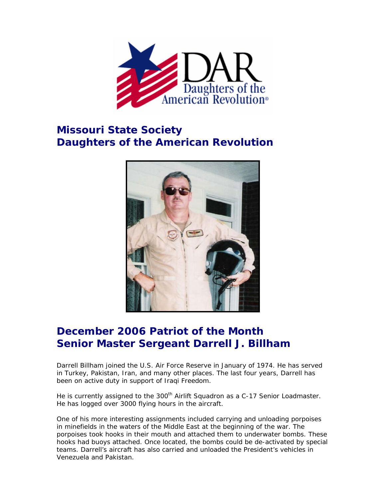

## **Missouri State Society Daughters of the American Revolution**



## **December 2006 Patriot of the Month Senior Master Sergeant Darrell J. Billham**

Darrell Billham joined the U.S. Air Force Reserve in January of 1974. He has served in Turkey, Pakistan, Iran, and many other places. The last four years, Darrell has been on active duty in support of Iraqi Freedom.

He is currently assigned to the 300<sup>th</sup> Airlift Squadron as a C-17 Senior Loadmaster. He has logged over 3000 flying hours in the aircraft.

One of his more interesting assignments included carrying and unloading porpoises in minefields in the waters of the Middle East at the beginning of the war. The porpoises took hooks in their mouth and attached them to underwater bombs. These hooks had buoys attached. Once located, the bombs could be de-activated by special teams. Darrell's aircraft has also carried and unloaded the President's vehicles in Venezuela and Pakistan.